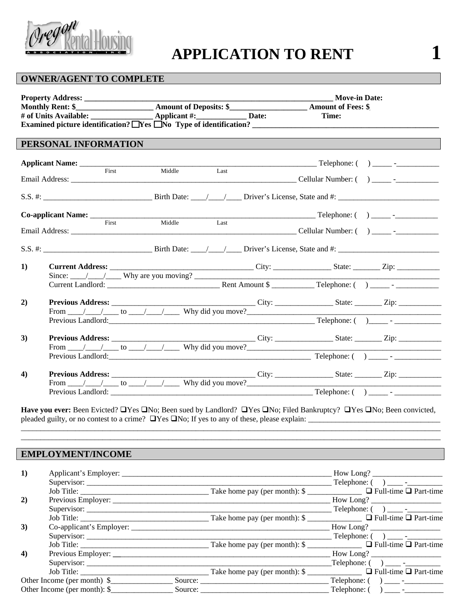

# **APPLICATION TO RENT 1**

# **OWNER/AGENT TO COMPLETE**

|    |                                        |                                                                                                                                                                                                                                                                                                                                                                                                                               | <b>Move-in Date:</b><br>Time: |  |
|----|----------------------------------------|-------------------------------------------------------------------------------------------------------------------------------------------------------------------------------------------------------------------------------------------------------------------------------------------------------------------------------------------------------------------------------------------------------------------------------|-------------------------------|--|
|    | PERSONAL INFORMATION                   |                                                                                                                                                                                                                                                                                                                                                                                                                               |                               |  |
|    | Applicant Name: _____________<br>First | Middle<br>Last                                                                                                                                                                                                                                                                                                                                                                                                                |                               |  |
|    |                                        |                                                                                                                                                                                                                                                                                                                                                                                                                               |                               |  |
|    | First                                  | Middle<br>Last                                                                                                                                                                                                                                                                                                                                                                                                                |                               |  |
|    |                                        |                                                                                                                                                                                                                                                                                                                                                                                                                               |                               |  |
| 1) |                                        | Since: $\_\_\_\_\_\_\_\_\$ Why are you moving? $\_\_\_\_\_\_\_\_\_\_\_\_\_\_\_\_\_\_\_\_\_\_\_\_$                                                                                                                                                                                                                                                                                                                             |                               |  |
| 2) |                                        | From $\frac{1}{\sqrt{1-\frac{1}{\sqrt{1-\frac{1}{\sqrt{1-\frac{1}{\sqrt{1-\frac{1}{\sqrt{1-\frac{1}{\sqrt{1-\frac{1}{\sqrt{1-\frac{1}{\sqrt{1-\frac{1}{\sqrt{1-\frac{1}{\sqrt{1-\frac{1}{\sqrt{1-\frac{1}{\sqrt{1-\frac{1}{\sqrt{1-\frac{1}{\sqrt{1-\frac{1}{\sqrt{1-\frac{1}{\sqrt{1-\frac{1}{\sqrt{1-\frac{1}{\sqrt{1-\frac{1}{\sqrt{1-\frac{1}{\sqrt{1-\frac{1}{\sqrt{1-\frac{1}{\sqrt{1-\frac{1}{\sqrt{1-\frac{1}{\sqrt{$ |                               |  |
| 3) |                                        | From $\angle$ $\angle$ to $\angle$ $\angle$ Why did you move?                                                                                                                                                                                                                                                                                                                                                                 |                               |  |
|    |                                        |                                                                                                                                                                                                                                                                                                                                                                                                                               |                               |  |
| 4) |                                        | From $\frac{1}{\sqrt{1-\frac{1}{\sqrt{1-\frac{1}{\sqrt{1-\frac{1}{\sqrt{1-\frac{1}{\sqrt{1-\frac{1}{\sqrt{1-\frac{1}{\sqrt{1-\frac{1}{\sqrt{1-\frac{1}{\sqrt{1-\frac{1}{\sqrt{1-\frac{1}{\sqrt{1-\frac{1}{\sqrt{1-\frac{1}{\sqrt{1-\frac{1}{\sqrt{1-\frac{1}{\sqrt{1-\frac{1}{\sqrt{1-\frac{1}{\sqrt{1-\frac{1}{\sqrt{1-\frac{1}{\sqrt{1-\frac{1}{\sqrt{1-\frac{1}{\sqrt{1-\frac{1}{\sqrt{1-\frac{1}{\sqrt{1-\frac{1}{\sqrt{$ |                               |  |

Have you ever: Been Evicted? LYes LNo; Been sued by Landlord? LYes LNo; Filed Bankruptcy? LYes LNo; Been convicted, pleaded guilty, or no contest to a crime?  $\Box$ Yes  $\Box$ No; If yes to any of these, please explain:  $\Box$ \_\_\_\_\_\_\_\_\_\_\_\_\_\_\_\_\_\_\_\_\_\_\_\_\_\_\_\_\_\_\_\_\_\_\_\_\_\_\_\_\_\_\_\_\_\_\_\_\_\_\_\_\_\_\_\_\_\_\_\_\_\_\_\_\_\_\_\_\_\_\_\_\_\_\_\_\_\_\_\_\_\_\_\_\_\_\_\_\_\_\_\_\_\_\_\_\_\_\_\_\_\_\_\_\_\_\_\_

\_\_\_\_\_\_\_\_\_\_\_\_\_\_\_\_\_\_\_\_\_\_\_\_\_\_\_\_\_\_\_\_\_\_\_\_\_\_\_\_\_\_\_\_\_\_\_\_\_\_\_\_\_\_\_\_\_\_\_\_\_\_\_\_\_\_\_\_\_\_\_\_\_\_\_\_\_\_\_\_\_\_\_\_\_\_\_\_\_\_\_\_\_\_\_\_\_\_\_\_\_\_\_\_\_\_\_\_

# **EMPLOYMENT/INCOME**

| 1)                   |                             |                                                                       | How Long? |
|----------------------|-----------------------------|-----------------------------------------------------------------------|-----------|
|                      |                             |                                                                       |           |
|                      |                             |                                                                       |           |
| 2)                   |                             |                                                                       | How Long? |
|                      |                             |                                                                       |           |
|                      |                             |                                                                       |           |
| 3)                   |                             |                                                                       | How Long? |
|                      |                             |                                                                       |           |
|                      |                             | $\Box$ Take home pay (per month): \$                                  |           |
| $\blacktriangleleft$ |                             |                                                                       |           |
|                      |                             |                                                                       |           |
|                      | Job Title:                  | $\begin{array}{c}\n\hline\n\end{array}$ Take home pay (per month): \$ |           |
|                      | Other Income (per month) \$ |                                                                       |           |
|                      |                             |                                                                       |           |